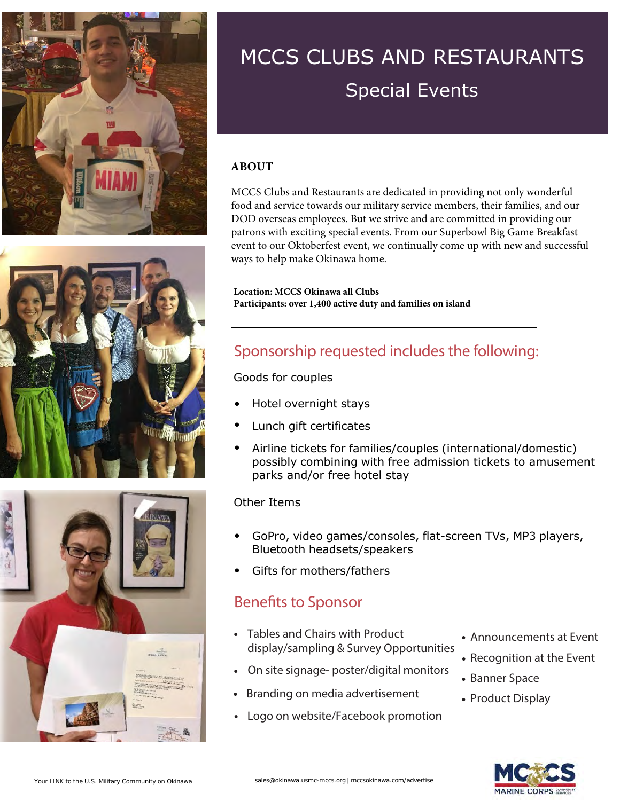





## MCCS CLUBS AND RESTAURANTS Special Events

#### **ABOUT**

MCCS Clubs and Restaurants are dedicated in providing not only wonderful food and service towards our military service members, their families, and our DOD overseas employees. But we strive and are committed in providing our patrons with exciting special events. From our Superbowl Big Game Breakfast event to our Oktoberfest event, we continually come up with new and successful ways to help make Okinawa home.

**Location: MCCS Okinawa all Clubs Participants: over 1,400 active duty and families on island**

### Sponsorship requested includes the following:

Goods for couples

- Hotel overnight stays
- Lunch gift certificates
- Airline tickets for families/couples (international/domestic) possibly combining with free admission tickets to amusement parks and/or free hotel stay

#### Other Items

- GoPro, video games/consoles, flat-screen TVs, MP3 players, Bluetooth headsets/speakers
- Gifts for mothers/fathers

#### Benefits to Sponsor

- Tables and Chairs with Product display/sampling & Survey Opportunities
- On site signage- poster/digital monitors
- Branding on media advertisement
- Logo on website/Facebook promotion
- Announcements at Event
- Recognition at the Event
- Banner Space
- Product Display